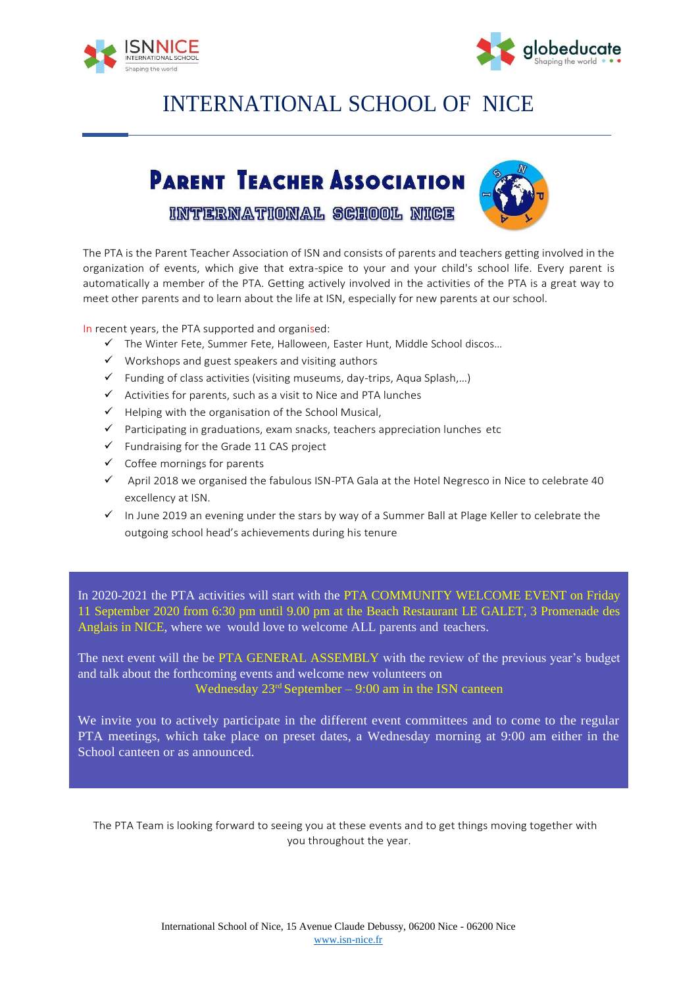



## INTERNATIONAL SCHOOL OF NICE

## **PARENT TEACHER ASSOCIATION**



INTERNATIONAL SCHOOL NIGE

The PTA is the Parent Teacher Association of ISN and consists of parents and teachers getting involved in the organization of events, which give that extra-spice to your and your child's school life. Every parent is automatically a member of the PTA. Getting actively involved in the activities of the PTA is a great way to meet other parents and to learn about the life at ISN, especially for new parents at our school.

In recent years, the PTA supported and organised:

- The Winter Fete, Summer Fete, Halloween, Easter Hunt, Middle School discos…
- $\checkmark$  Workshops and guest speakers and visiting authors
- $\checkmark$  Funding of class activities (visiting museums, day-trips, Aqua Splash,...)
- $\checkmark$  Activities for parents, such as a visit to Nice and PTA lunches
- $\checkmark$  Helping with the organisation of the School Musical,
- $\checkmark$  Participating in graduations, exam snacks, teachers appreciation lunches etc
- $\checkmark$  Fundraising for the Grade 11 CAS project
- $\checkmark$  Coffee mornings for parents
- $\checkmark$  April 2018 we organised the fabulous ISN-PTA Gala at the Hotel Negresco in Nice to celebrate 40 excellency at ISN.
- $\checkmark$  In June 2019 an evening under the stars by way of a Summer Ball at Plage Keller to celebrate the outgoing school head's achievements during his tenure

In 2020-2021 the PTA activities will start with the PTA COMMUNITY WELCOME EVENT on Friday 11 September 2020 from 6:30 pm until 9.00 pm at the Beach Restaurant LE GALET, 3 Promenade des Anglais in NICE, where we would love to welcome ALL parents and teachers.

The next event will the be PTA GENERAL ASSEMBLY with the review of the previous year's budget and talk about the forthcoming events and welcome new volunteers on Wednesday  $23<sup>rd</sup>$  September – 9:00 am in the ISN canteen

We invite you to actively participate in the different event committees and to come to the regular PTA meetings, which take place on preset dates, a Wednesday morning at 9:00 am either in the School canteen or as announced.

The PTA Team is looking forward to seeing you at these events and to get things moving together with you throughout the year.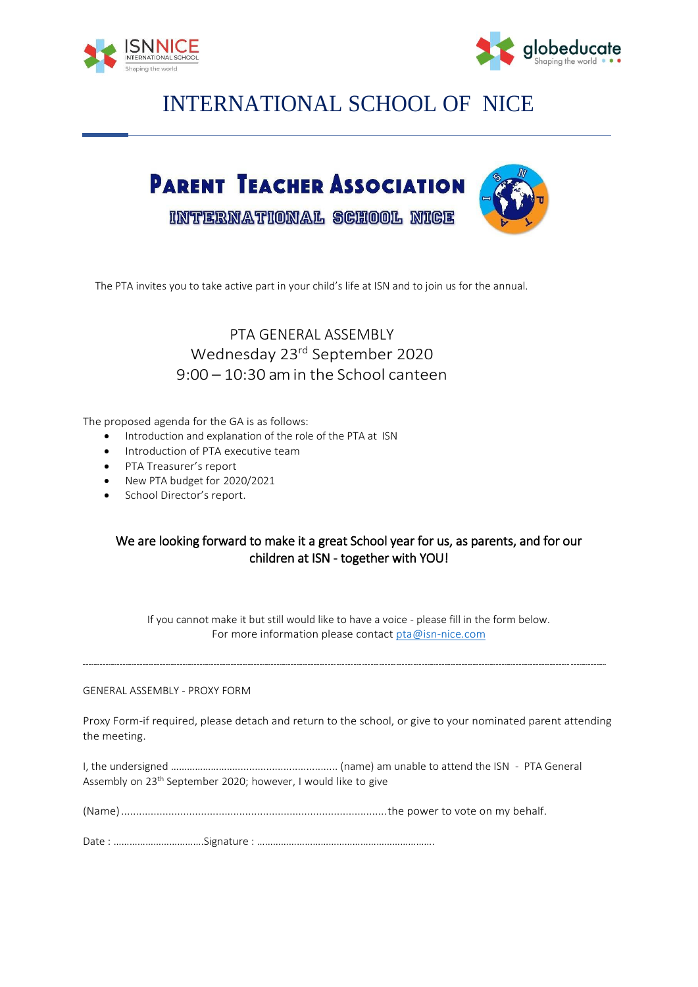



## INTERNATIONAL SCHOOL OF NICE



The PTA invites you to take active part in your child's life at ISN and to join us for the annual.

#### PTA GENERAL ASSEMBLY Wednesday 23<sup>rd</sup> September 2020 9:00 – 10:30 am in the School canteen

The proposed agenda for the GA is as follows:

- Introduction and explanation of the role of the PTA at ISN
- Introduction of PTA executive team
- PTA Treasurer's report
- New PTA budget for 2020/2021
- School Director's report.

#### We are looking forward to make it a great School year for us, as parents, and for our children at ISN - together with YOU!

If you cannot make it but still would like to have a voice - please fill in the form below. For more information please contact [pta@isn-nice.com](mailto:pta@isn-nice.com)

#### GENERAL ASSEMBLY - PROXY FORM

Proxy Form-if required, please detach and return to the school, or give to your nominated parent attending the meeting.

I, the undersigned …………………….................................... (name) am unable to attend the ISN - PTA General Assembly on 23<sup>th</sup> September 2020; however, I would like to give

(Name)..........................................................................................the power to vote on my behalf.

Date : …………………………….Signature : ………………………………………………………….